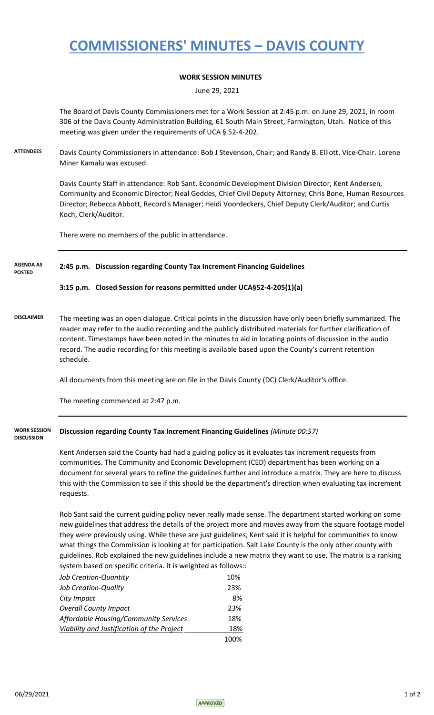# **COMMISSIONERS' MINUTES – DAVIS COUNTY**

### **WORK SESSION MINUTES**

June 29, 2021

The Board of Davis County Commissioners met for a Work Session at 2:45 p.m. on June 29, 2021, in room 306 of the Davis County Administration Building, 61 South Main Street, Farmington, Utah. Notice of this meeting was given under the requirements of UCA § 52-4-202.

**ATTENDEES** Davis County Commissioners in attendance: Bob J Stevenson, Chair; and Randy B. Elliott, Vice-Chair. Lorene Miner Kamalu was excused.

> Davis County Staff in attendance: Rob Sant, Economic Development Division Director, Kent Andersen, Community and Economic Director; Neal Geddes, Chief Civil Deputy Attorney; Chris Bone, Human Resources Director; Rebecca Abbott, Record's Manager; Heidi Voordeckers, Chief Deputy Clerk/Auditor; and Curtis Koch, Clerk/Auditor.

There were no members of the public in attendance.

#### **2:45 p.m. Discussion regarding County Tax Increment Financing Guidelines AGENDA AS POSTED**

### **3:15 p.m. Closed Session for reasons permitted under UCA§52-4-205(1)(a)**

**DISCLAIMER** The meeting was an open dialogue. Critical points in the discussion have only been briefly summarized. The reader may refer to the audio recording and the publicly distributed materials for further clarification of content. Timestamps have been noted in the minutes to aid in locating points of discussion in the audio record. The audio recording for this meeting is available based upon the County's current retention schedule.

All documents from this meeting are on file in the Davis County (DC) Clerk/Auditor's office.

The meeting commenced at 2:47 p.m.

**Discussion regarding County Tax Increment Financing Guidelines** *(Minute 00:57)* **WORK SESSION DISCUSSION**

> Kent Andersen said the County had had a guiding policy as it evaluates tax increment requests from communities. The Community and Economic Development (CED) department has been working on a document for several years to refine the guidelines further and introduce a matrix. They are here to discuss this with the Commission to see if this should be the department's direction when evaluating tax increment requests.

> Rob Sant said the current guiding policy never really made sense. The department started working on some new guidelines that address the details of the project more and moves away from the square footage model they were previously using. While these are just guidelines, Kent said it is helpful for communities to know what things the Commission is looking at for participation. Salt Lake County is the only other county with guidelines. Rob explained the new guidelines include a new matrix they want to use. The matrix is a ranking system based on specific criteria. It is weighted as follows::

| Job Creation-Quantity                      | 10% |
|--------------------------------------------|-----|
| <b>Job Creation-Quality</b>                | 23% |
| City Impact                                | 8%  |
| <b>Overall County Impact</b>               | 23% |
| Affordable Housing/Community Services      | 18% |
| Viability and Justification of the Project | 18% |
|                                            |     |